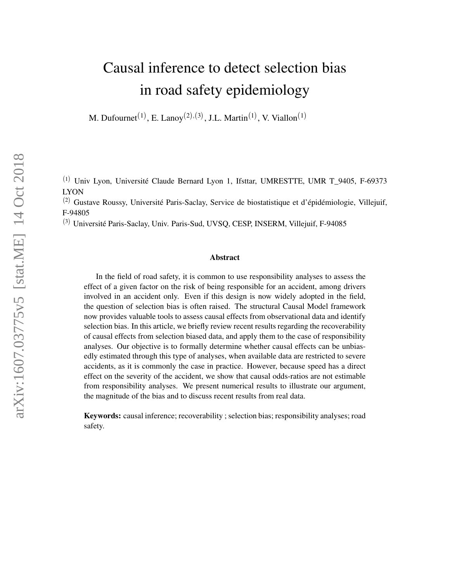# Causal inference to detect selection bias in road safety epidemiology

M. Dufournet<sup>(1)</sup>, E. Lanoy<sup>(2),(3)</sup>, J.L. Martin<sup>(1)</sup>, V. Viallon<sup>(1)</sup>

<sup>(1)</sup> Univ Lyon, Université Claude Bernard Lyon 1, Ifsttar, UMRESTTE, UMR T\_9405, F-69373 LYON

<sup>(2)</sup> Gustave Roussy, Université Paris-Saclay, Service de biostatistique et d'épidémiologie, Villejuif, F-94805

3 Université Paris-Saclay, Univ. Paris-Sud, UVSQ, CESP, INSERM, Villejuif, F-94085

#### Abstract

In the field of road safety, it is common to use responsibility analyses to assess the effect of a given factor on the risk of being responsible for an accident, among drivers involved in an accident only. Even if this design is now widely adopted in the field, the question of selection bias is often raised. The structural Causal Model framework now provides valuable tools to assess causal effects from observational data and identify selection bias. In this article, we briefly review recent results regarding the recoverability of causal effects from selection biased data, and apply them to the case of responsibility analyses. Our objective is to formally determine whether causal effects can be unbiasedly estimated through this type of analyses, when available data are restricted to severe accidents, as it is commonly the case in practice. However, because speed has a direct effect on the severity of the accident, we show that causal odds-ratios are not estimable from responsibility analyses. We present numerical results to illustrate our argument, the magnitude of the bias and to discuss recent results from real data.

Keywords: causal inference; recoverability ; selection bias; responsibility analyses; road safety.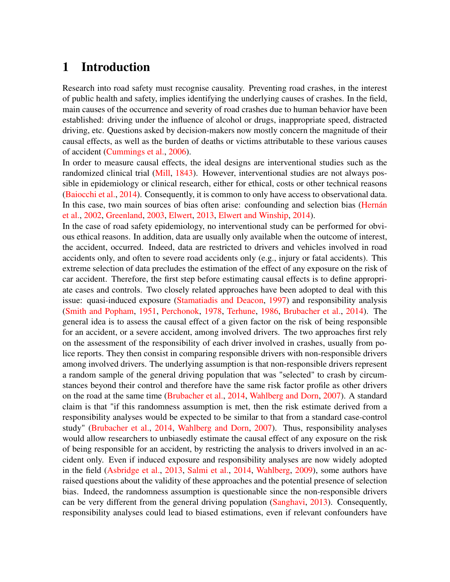## 1 Introduction

Research into road safety must recognise causality. Preventing road crashes, in the interest of public health and safety, implies identifying the underlying causes of crashes. In the field, main causes of the occurrence and severity of road crashes due to human behavior have been established: driving under the influence of alcohol or drugs, inappropriate speed, distracted driving, etc. Questions asked by decision-makers now mostly concern the magnitude of their causal effects, as well as the burden of deaths or victims attributable to these various causes of accident [\(Cummings et al.,](#page-16-0) [2006\)](#page-16-0).

In order to measure causal effects, the ideal designs are interventional studies such as the randomized clinical trial [\(Mill,](#page-17-0) [1843\)](#page-17-0). However, interventional studies are not always possible in epidemiology or clinical research, either for ethical, costs or other technical reasons [\(Baiocchi et al.,](#page-16-1) [2014\)](#page-16-1). Consequently, it is common to only have access to observational data. In this case, two main sources of bias often arise: confounding and selection bias [\(Hernán](#page-17-1) [et al.,](#page-17-1) [2002,](#page-17-1) [Greenland,](#page-16-2) [2003,](#page-16-2) [Elwert,](#page-16-3) [2013,](#page-16-3) [Elwert and Winship,](#page-16-4) [2014\)](#page-16-4).

In the case of road safety epidemiology, no interventional study can be performed for obvious ethical reasons. In addition, data are usually only available when the outcome of interest, the accident, occurred. Indeed, data are restricted to drivers and vehicles involved in road accidents only, and often to severe road accidents only (e.g., injury or fatal accidents). This extreme selection of data precludes the estimation of the effect of any exposure on the risk of car accident. Therefore, the first step before estimating causal effects is to define appropriate cases and controls. Two closely related approaches have been adopted to deal with this issue: quasi-induced exposure [\(Stamatiadis and Deacon,](#page-18-0) [1997\)](#page-18-0) and responsibility analysis [\(Smith and Popham,](#page-18-1) [1951,](#page-18-1) [Perchonok,](#page-17-2) [1978,](#page-17-2) [Terhune,](#page-18-2) [1986,](#page-18-2) [Brubacher et al.,](#page-16-5) [2014\)](#page-16-5). The general idea is to assess the causal effect of a given factor on the risk of being responsible for an accident, or a severe accident, among involved drivers. The two approaches first rely on the assessment of the responsibility of each driver involved in crashes, usually from police reports. They then consist in comparing responsible drivers with non-responsible drivers among involved drivers. The underlying assumption is that non-responsible drivers represent a random sample of the general driving population that was "selected" to crash by circumstances beyond their control and therefore have the same risk factor profile as other drivers on the road at the same time [\(Brubacher et al.,](#page-16-5) [2014,](#page-16-5) [Wahlberg and Dorn,](#page-18-3) [2007\)](#page-18-3). A standard claim is that "if this randomness assumption is met, then the risk estimate derived from a responsibility analyses would be expected to be similar to that from a standard case-control study" [\(Brubacher et al.,](#page-16-5) [2014,](#page-16-5) [Wahlberg and Dorn,](#page-18-3) [2007\)](#page-18-3). Thus, responsibility analyses would allow researchers to unbiasedly estimate the causal effect of any exposure on the risk of being responsible for an accident, by restricting the analysis to drivers involved in an accident only. Even if induced exposure and responsibility analyses are now widely adopted in the field [\(Asbridge et al.,](#page-16-6) [2013,](#page-16-6) [Salmi et al.,](#page-17-3) [2014,](#page-17-3) [Wahlberg,](#page-18-4) [2009\)](#page-18-4), some authors have raised questions about the validity of these approaches and the potential presence of selection bias. Indeed, the randomness assumption is questionable since the non-responsible drivers can be very different from the general driving population [\(Sanghavi,](#page-18-5) [2013\)](#page-18-5). Consequently, responsibility analyses could lead to biased estimations, even if relevant confounders have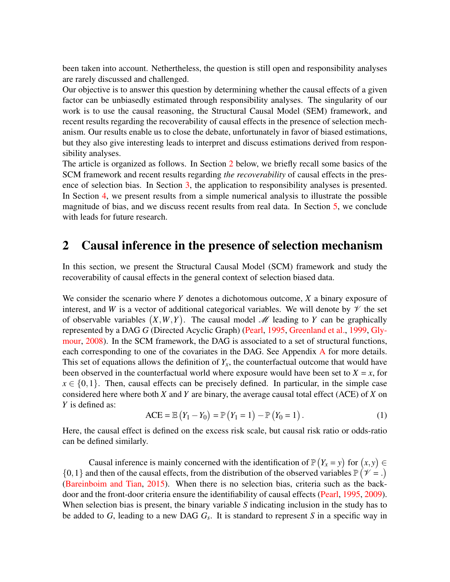been taken into account. Nethertheless, the question is still open and responsibility analyses are rarely discussed and challenged.

Our objective is to answer this question by determining whether the causal effects of a given factor can be unbiasedly estimated through responsibility analyses. The singularity of our work is to use the causal reasoning, the Structural Causal Model (SEM) framework, and recent results regarding the recoverability of causal effects in the presence of selection mechanism. Our results enable us to close the debate, unfortunately in favor of biased estimations, but they also give interesting leads to interpret and discuss estimations derived from responsibility analyses.

The article is organized as follows. In Section [2](#page-2-0) below, we briefly recall some basics of the SCM framework and recent results regarding *the recoverability* of causal effects in the presence of selection bias. In Section [3,](#page-5-0) the application to responsibility analyses is presented. In Section [4,](#page-9-0) we present results from a simple numerical analysis to illustrate the possible magnitude of bias, and we discuss recent results from real data. In Section [5,](#page-14-0) we conclude with leads for future research.

### <span id="page-2-0"></span>2 Causal inference in the presence of selection mechanism

In this section, we present the Structural Causal Model (SCM) framework and study the recoverability of causal effects in the general context of selection biased data.

We consider the scenario where *Y* denotes a dichotomous outcome, *X* a binary exposure of interest, and *W* is a vector of additional categorical variables. We will denote by  $\mathcal V$  the set of observable variables  $(X, W, Y)$ . The causal model M leading to Y can be graphically represented by a DAG *G* (Directed Acyclic Graph) [\(Pearl,](#page-17-4) [1995,](#page-17-4) [Greenland et al.,](#page-16-7) [1999,](#page-16-7) [Gly](#page-16-8)[mour,](#page-16-8) [2008\)](#page-16-8). In the SCM framework, the DAG is associated to a set of structural functions, each corresponding to one of the covariates in the D[A](#page-19-0)G. See Appendix A for more details. This set of equations allows the definition of  $Y_x$ , the counterfactual outcome that would have been observed in the counterfactual world where exposure would have been set to  $X = x$ , for  $x \in \{0,1\}$ . Then, causal effects can be precisely defined. In particular, in the simple case considered here where both *X* and *Y* are binary, the average causal total effect (ACE) of *X* on *Y* is defined as:

$$
ACE = \mathbb{E}(Y_1 - Y_0) = \mathbb{P}(Y_1 = 1) - \mathbb{P}(Y_0 = 1).
$$
 (1)

Here, the causal effect is defined on the excess risk scale, but causal risk ratio or odds-ratio can be defined similarly.

Causal inference is mainly concerned with the identification of  $\mathbb{P}(Y_x = y)$  for  $(x, y) \in$  $\{0, 1\}$  and then of the causal effects, from the distribution of the observed variables  $\mathbb{P}(\mathcal{V} = .)$ [\(Bareinboim and Tian,](#page-16-9) [2015\)](#page-16-9). When there is no selection bias, criteria such as the backdoor and the front-door criteria ensure the identifiability of causal effects [\(Pearl,](#page-17-4) [1995,](#page-17-4) [2009\)](#page-17-5). When selection bias is present, the binary variable *S* indicating inclusion in the study has to be added to *G*, leading to a new DAG *G<sup>s</sup>* . It is standard to represent *S* in a specific way in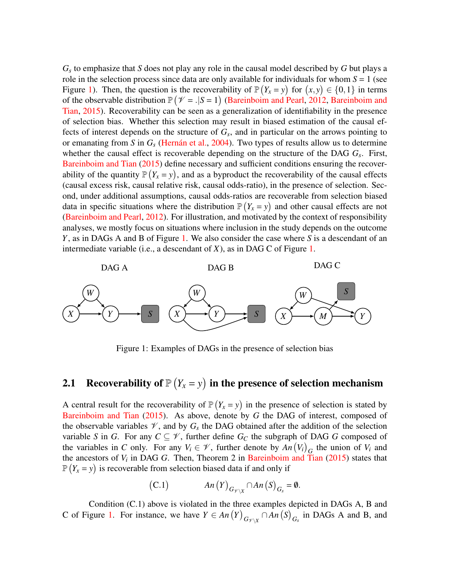*Gs* to emphasize that *S* does not play any role in the causal model described by *G* but plays a role in the selection process since data are only available for individuals for whom  $S = 1$  (see Figure [1\)](#page-3-0). Then, the question is the recoverability of  $\mathbb{P}(Y_x = y)$  for  $(x, y) \in \{0, 1\}$  in terms of the observable distribution  $\mathbb{P}(\mathcal{V} = . | S = 1)$  [\(Bareinboim and Pearl,](#page-16-10) [2012,](#page-16-10) [Bareinboim and](#page-16-9) [Tian,](#page-16-9) [2015\)](#page-16-9). Recoverability can be seen as a generalization of identifiability in the presence of selection bias. Whether this selection may result in biased estimation of the causal effects of interest depends on the structure of *G<sup>s</sup>* , and in particular on the arrows pointing to or emanating from *S* in *G<sup>s</sup>* [\(Hernán et al.,](#page-16-11) [2004\)](#page-16-11). Two types of results allow us to determine whether the causal effect is recoverable depending on the structure of the DAG *G<sup>s</sup>* . First, [Bareinboim and Tian](#page-16-9) [\(2015\)](#page-16-9) define necessary and sufficient conditions ensuring the recoverability of the quantity  $\mathbb{P}(Y_x = y)$ , and as a byproduct the recoverability of the causal effects (causal excess risk, causal relative risk, causal odds-ratio), in the presence of selection. Second, under additional assumptions, causal odds-ratios are recoverable from selection biased data in specific situations where the distribution  $P(Y_x = y)$  and other causal effects are not [\(Bareinboim and Pearl,](#page-16-10) [2012\)](#page-16-10). For illustration, and motivated by the context of responsibility analyses, we mostly focus on situations where inclusion in the study depends on the outcome *Y*, as in DAGs A and B of Figure [1.](#page-3-0) We also consider the case where *S* is a descendant of an intermediate variable (i.e., a descendant of *X*), as in DAG C of Figure [1.](#page-3-0)



<span id="page-3-0"></span>Figure 1: Examples of DAGs in the presence of selection bias

## 2.1 Recoverability of  $\mathbb{P}(Y_x = y)$  in the presence of selection mechanism

A central result for the recoverability of  $\mathbb{P}(Y_x = y)$  in the presence of selection is stated by [Bareinboim and Tian](#page-16-9) [\(2015\)](#page-16-9). As above, denote by *G* the DAG of interest, composed of the observable variables  $\mathcal{V}$ , and by  $G_s$  the DAG obtained after the addition of the selection variable *S* in *G*. For any  $C \subseteq V$ , further define  $G_C$  the subgraph of DAG *G* composed of the variables in *C* only. For any  $V_i \in \mathcal{V}$ , further denote by  $An(V_i)_{G_i}$  the union of  $V_i$  and the ancestors of  $V_i$  in DAG  $G$ . Then, Theorem 2 in [Bareinboim and Tian](#page-16-9)  $(2015)$  states that  $\mathbb{P}(Y_x = y)$  is recoverable from selection biased data if and only if

(C.1) 
$$
An(Y)_{G_{\mathscr{V}\setminus X}} \cap An(S)_{G_s} = \emptyset.
$$

Condition (C.1) above is violated in the three examples depicted in DAGs A, B and C of Figure [1.](#page-3-0) For instance, we have  $Y \in An(Y)_{G_{\mathcal{V} \setminus X}} \cap An(S)_{G_s}$  in DAGs A and B, and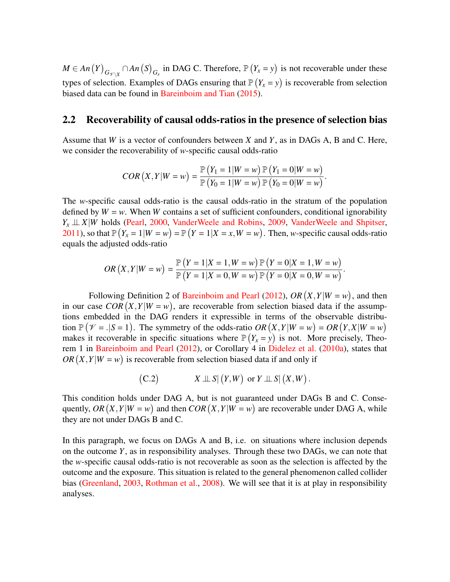$M \in An(Y)_{G_{\mathcal{V} \setminus X}} \cap An(S)_{G_s}$  in DAG C. Therefore,  $\mathbb{P}(Y_x = y)$  is not recoverable under these types of selection. Examples of DAGs ensuring that  $P(Y_x = y)$  is recoverable from selection biased data can be found in [Bareinboim and Tian](#page-16-9) [\(2015\)](#page-16-9).

#### 2.2 Recoverability of causal odds-ratios in the presence of selection bias

Assume that *W* is a vector of confounders between *X* and *Y*, as in DAGs A, B and C. Here, we consider the recoverability of *w*-specific causal odds-ratio

$$
COR(X,Y|W=w) = \frac{\mathbb{P}(Y_1 = 1|W=w) \mathbb{P}(Y_1 = 0|W=w)}{\mathbb{P}(Y_0 = 1|W=w) \mathbb{P}(Y_0 = 0|W=w)}.
$$

The *w*-specific causal odds-ratio is the causal odds-ratio in the stratum of the population defined by  $W = w$ . When *W* contains a set of sufficient confounders, conditional ignorability  $Y_x \perp\!\!\!\perp X|W$  holds [\(Pearl,](#page-17-6) [2000,](#page-17-6) [VanderWeele and Robins,](#page-18-6) [2009,](#page-18-6) [VanderWeele and Shpitser,](#page-18-7) [2011\)](#page-18-7), so that  $\mathbb{P}(Y_x = 1 | W = w) = \mathbb{P}(Y = 1 | X = x, W = w)$ . Then, *w*-specific causal odds-ratio equals the adjusted odds-ratio

$$
OR(X,Y|W=w) = \frac{\mathbb{P}(Y=1|X=1,W=w) \mathbb{P}(Y=0|X=1,W=w)}{\mathbb{P}(Y=1|X=0,W=w) \mathbb{P}(Y=0|X=0,W=w)}.
$$

Following Definition 2 of [Bareinboim and Pearl](#page-16-10) [\(2012\)](#page-16-10),  $OR(X, Y|W = w)$ , and then in our case  $COR(X, Y|W = w)$ , are recoverable from selection biased data if the assumptions embedded in the DAG renders it expressible in terms of the observable distribution  $\mathbb{P}(\mathcal{V} = .|S = 1)$ . The symmetry of the odds-ratio  $OR(X, Y|W = w) = OR(Y, X|W = w)$ makes it recoverable in specific situations where  $\mathbb{P}(Y_x = y)$  is not. More precisely, Theorem 1 in [Bareinboim and Pearl](#page-16-10) [\(2012\)](#page-16-10), or Corollary 4 in [Didelez et al.](#page-16-12) [\(2010a\)](#page-16-12), states that  $OR(X, Y | W = w)$  is recoverable from selection biased data if and only if

(C.2) 
$$
X \perp \!\!\!\perp S | (Y, W) \text{ or } Y \perp \!\!\!\perp S | (X, W).
$$

This condition holds under DAG A, but is not guaranteed under DAGs B and C. Consequently,  $OR(X, Y|W = w)$  and then  $COR(X, Y|W = w)$  are recoverable under DAG A, while they are not under DAGs B and C.

In this paragraph, we focus on DAGs A and B, i.e. on situations where inclusion depends on the outcome *Y*, as in responsibility analyses. Through these two DAGs, we can note that the *w*-specific causal odds-ratio is not recoverable as soon as the selection is affected by the outcome and the exposure. This situation is related to the general phenomenon called collider bias [\(Greenland,](#page-16-2) [2003,](#page-16-2) [Rothman et al.,](#page-17-7) [2008\)](#page-17-7). We will see that it is at play in responsibility analyses.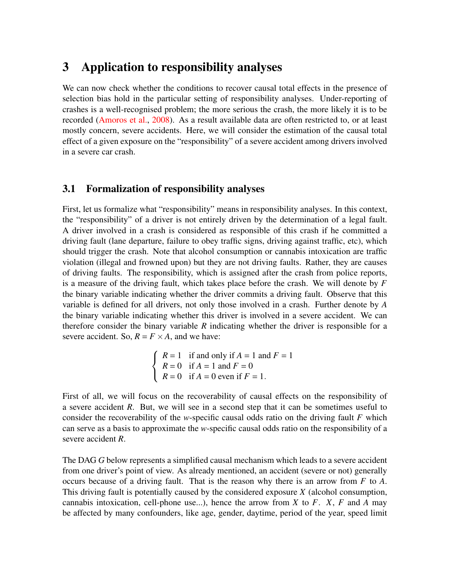## <span id="page-5-0"></span>3 Application to responsibility analyses

We can now check whether the conditions to recover causal total effects in the presence of selection bias hold in the particular setting of responsibility analyses. Under-reporting of crashes is a well-recognised problem; the more serious the crash, the more likely it is to be recorded [\(Amoros et al.,](#page-16-13) [2008\)](#page-16-13). As a result available data are often restricted to, or at least mostly concern, severe accidents. Here, we will consider the estimation of the causal total effect of a given exposure on the "responsibility" of a severe accident among drivers involved in a severe car crash.

#### 3.1 Formalization of responsibility analyses

First, let us formalize what "responsibility" means in responsibility analyses. In this context, the "responsibility" of a driver is not entirely driven by the determination of a legal fault. A driver involved in a crash is considered as responsible of this crash if he committed a driving fault (lane departure, failure to obey traffic signs, driving against traffic, etc), which should trigger the crash. Note that alcohol consumption or cannabis intoxication are traffic violation (illegal and frowned upon) but they are not driving faults. Rather, they are causes of driving faults. The responsibility, which is assigned after the crash from police reports, is a measure of the driving fault, which takes place before the crash. We will denote by *F* the binary variable indicating whether the driver commits a driving fault. Observe that this variable is defined for all drivers, not only those involved in a crash. Further denote by *A* the binary variable indicating whether this driver is involved in a severe accident. We can therefore consider the binary variable *R* indicating whether the driver is responsible for a severe accident. So,  $R = F \times A$ , and we have:

$$
\begin{cases}\nR = 1 & \text{if and only if } A = 1 \text{ and } F = 1 \\
R = 0 & \text{if } A = 1 \text{ and } F = 0 \\
R = 0 & \text{if } A = 0 \text{ even if } F = 1.\n\end{cases}
$$

First of all, we will focus on the recoverability of causal effects on the responsibility of a severe accident *R*. But, we will see in a second step that it can be sometimes useful to consider the recoverability of the *w*-specific causal odds ratio on the driving fault *F* which can serve as a basis to approximate the *w*-specific causal odds ratio on the responsibility of a severe accident *R*.

The DAG *G* below represents a simplified causal mechanism which leads to a severe accident from one driver's point of view. As already mentioned, an accident (severe or not) generally occurs because of a driving fault. That is the reason why there is an arrow from *F* to *A*. This driving fault is potentially caused by the considered exposure *X* (alcohol consumption, cannabis intoxication, cell-phone use...), hence the arrow from *X* to *F*. *X*, *F* and *A* may be affected by many confounders, like age, gender, daytime, period of the year, speed limit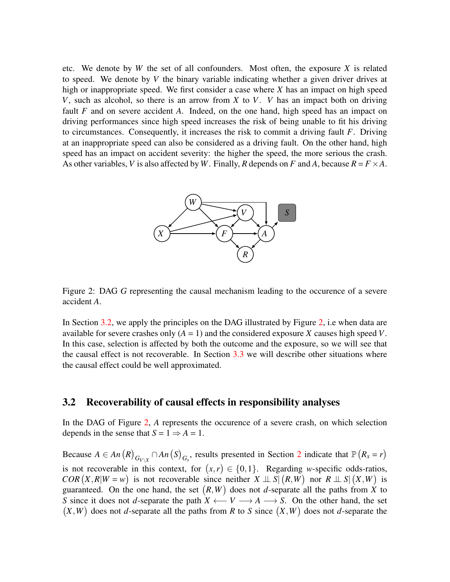etc. We denote by *W* the set of all confounders. Most often, the exposure *X* is related to speed. We denote by *V* the binary variable indicating whether a given driver drives at high or inappropriate speed. We first consider a case where *X* has an impact on high speed *V*, such as alcohol, so there is an arrow from *X* to *V*. *V* has an impact both on driving fault *F* and on severe accident *A*. Indeed, on the one hand, high speed has an impact on driving performances since high speed increases the risk of being unable to fit his driving to circumstances. Consequently, it increases the risk to commit a driving fault *F*. Driving at an inappropriate speed can also be considered as a driving fault. On the other hand, high speed has an impact on accident severity: the higher the speed, the more serious the crash. As other variables, *V* is also affected by *W*. Finally, *R* depends on *F* and *A*, because  $R = F \times A$ .



<span id="page-6-1"></span>Figure 2: DAG *G* representing the causal mechanism leading to the occurence of a severe accident *A*.

In Section [3.2,](#page-6-0) we apply the principles on the DAG illustrated by Figure [2,](#page-6-1) i.e when data are available for severe crashes only  $(A = 1)$  and the considered exposure *X* causes high speed *V*. In this case, selection is affected by both the outcome and the exposure, so we will see that the causal effect is not recoverable. In Section [3.3](#page-7-0) we will describe other situations where the causal effect could be well approximated.

#### <span id="page-6-0"></span>3.2 Recoverability of causal effects in responsibility analyses

In the DAG of Figure [2,](#page-6-1) *A* represents the occurence of a severe crash, on which selection depends in the sense that  $S = 1 \Rightarrow A = 1$ .

Because  $A \in An(R)$ <sub> $G_{V \setminus X} \cap An(S)$ <sub> $G_s$ </sub>, results presented in Section [2](#page-2-0) indicate that  $\mathbb{P}(R_x = r)$ </sub> is not recoverable in this context, for  $(x,r) \in \{0,1\}$ . Regarding *w*-specific odds-ratios, *COR*  $(X, R | W = w)$  is not recoverable since neither  $X \perp \!\!\!\perp S | (R, W)$  nor  $R \perp \!\!\!\perp S | (X, W)$  is guaranteed. On the one hand, the set  $(R, W)$  does not *d*-separate all the paths from *X* to *S* since it does not *d*-separate the path  $X \leftarrow V \longrightarrow A \longrightarrow S$ . On the other hand, the set  $(X, W)$  does not *d*-separate all the paths from *R* to *S* since  $(X, W)$  does not *d*-separate the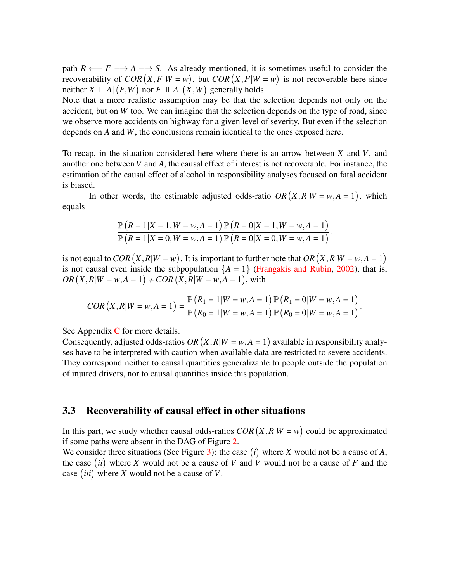path  $R \leftarrow F \longrightarrow A \longrightarrow S$ . As already mentioned, it is sometimes useful to consider the recoverability of  $COR(X, F|W = w)$ , but  $COR(X, F|W = w)$  is not recoverable here since neither  $X \perp \!\!\!\perp A | (F, W)$  nor  $F \perp \!\!\!\perp A | (X, W)$  generally holds.

Note that a more realistic assumption may be that the selection depends not only on the accident, but on *W* too. We can imagine that the selection depends on the type of road, since we observe more accidents on highway for a given level of severity. But even if the selection depends on *A* and *W*, the conclusions remain identical to the ones exposed here.

To recap, in the situation considered here where there is an arrow between *X* and *V*, and another one between *V* and *A*, the causal effect of interest is not recoverable. For instance, the estimation of the causal effect of alcohol in responsibility analyses focused on fatal accident is biased.

In other words, the estimable adjusted odds-ratio  $OR(X, R|W = w, A = 1)$ , which equals

$$
\frac{\mathbb{P}\left(R=1|X=1,W=w,A=1\right)\mathbb{P}\left(R=0|X=1,W=w,A=1\right)}{\mathbb{P}\left(R=1|X=0,W=w,A=1\right)\mathbb{P}\left(R=0|X=0,W=w,A=1\right)}.
$$

is not equal to *COR*  $(X, R|W = w)$ . It is important to further note that *OR*  $(X, R|W = w, A = 1)$ is not causal even inside the subpopulation  ${A = 1}$  [\(Frangakis and Rubin,](#page-16-14) [2002\)](#page-16-14), that is,  $OR(X, R | W = w, A = 1) \neq COR(X, R | W = w, A = 1)$ , with

$$
COR(X, R|W = w, A = 1) = \frac{\mathbb{P}(R_1 = 1|W = w, A = 1) \mathbb{P}(R_1 = 0|W = w, A = 1)}{\mathbb{P}(R_0 = 1|W = w, A = 1) \mathbb{P}(R_0 = 0|W = w, A = 1)}.
$$

See Appendix [C](#page-23-0) for more details.

Consequently, adjusted odds-ratios  $OR(X, R|W = w, A = 1)$  available in responsibility analyses have to be interpreted with caution when available data are restricted to severe accidents. They correspond neither to causal quantities generalizable to people outside the population of injured drivers, nor to causal quantities inside this population.

#### <span id="page-7-0"></span>3.3 Recoverability of causal effect in other situations

In this part, we study whether causal odds-ratios  $COR(X, R|W = w)$  could be approximated if some paths were absent in the DAG of Figure [2.](#page-6-1)

We consider three situations (See Figure [3\)](#page-8-0): the case  $(i)$  where *X* would not be a cause of *A*, the case *ii* where *X* would not be a cause of *V* and *V* would not be a cause of *F* and the case *iii* where *X* would not be a cause of *V*.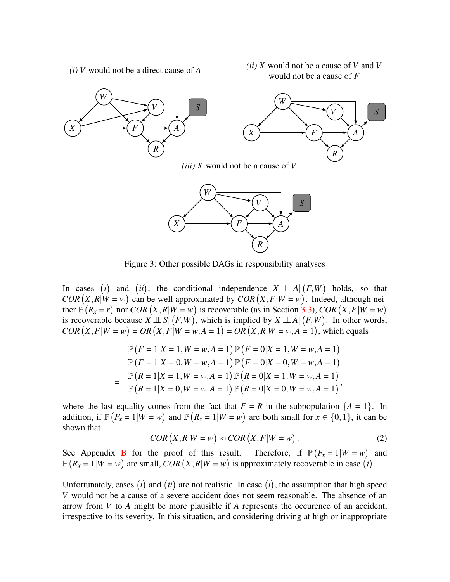*(i) V* would not be a direct cause of *A*

*(ii) X* would not be a cause of *V* and *V* would not be a cause of *F*





<span id="page-8-0"></span>Figure 3: Other possible DAGs in responsibility analyses

In cases (*i*) and (*ii*), the conditional independence  $X \perp A | (F, W)$  holds, so that  $COR(X, R | W = w)$  can be well approximated by  $COR(X, F | W = w)$ . Indeed, although neither  $\mathbb{P}(R_x = r)$  nor  $COR(X, R|W = w)$  is recoverable (as in Section [3.3\)](#page-7-0),  $COR(X, F|W = w)$ is recoverable because  $X \perp \!\!\!\perp S | (F, W)$ , which is implied by  $X \perp \!\!\!\perp A | (F, W)$ . In other words,  $COR(X, F | W = w) = OR(X, F | W = w, A = 1) = OR(X, R | W = w, A = 1)$ , which equals

$$
\mathbb{P}\left(F=1|X=1,W=w,A=1\right)\mathbb{P}\left(F=0|X=1,W=w,A=1\right)
$$
\n
$$
\mathbb{P}\left(F=1|X=0,W=w,A=1\right)\mathbb{P}\left(F=0|X=0,W=w,A=1\right)
$$
\n
$$
=\frac{\mathbb{P}\left(R=1|X=1,W=w,A=1\right)\mathbb{P}\left(R=0|X=1,W=w,A=1\right)}{\mathbb{P}\left(R=1|X=0,W=w,A=1\right)\mathbb{P}\left(R=0|X=0,W=w,A=1\right)},
$$

where the last equality comes from the fact that  $F = R$  in the subpopulation  ${A = 1}$ . In addition, if  $\mathbb{P}(F_x = 1 | W = w)$  and  $\mathbb{P}(R_x = 1 | W = w)$  are both small for  $x \in \{0, 1\}$ , it can be shown that

<span id="page-8-1"></span>
$$
COR(X, R|W = w) \approx COR(X, F|W = w).
$$
\n(2)

See Appendix [B](#page-23-1) for the proof of this result. Therefore, if  $\mathbb{P}(F_x = 1 | W = w)$  and  $\mathbb{P}(R_x = 1 | W = w)$  are small,  $COR(X, R | W = w)$  is approximately recoverable in case (*i*).

Unfortunately, cases  $(i)$  and  $(ii)$  are not realistic. In case  $(i)$ , the assumption that high speed *V* would not be a cause of a severe accident does not seem reasonable. The absence of an arrow from *V* to *A* might be more plausible if *A* represents the occurence of an accident, irrespective to its severity. In this situation, and considering driving at high or inappropriate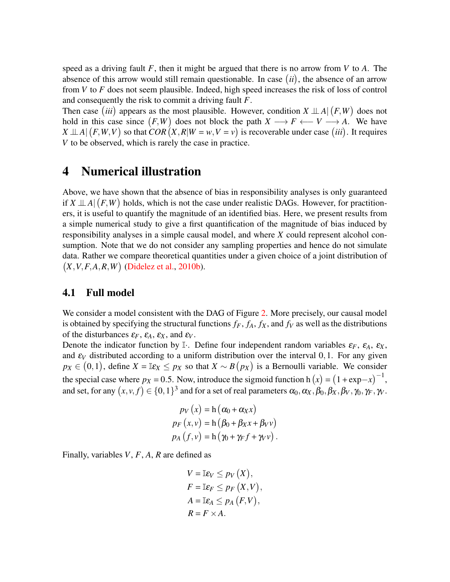speed as a driving fault *F*, then it might be argued that there is no arrow from *V* to *A*. The absence of this arrow would still remain questionable. In case  $(ii)$ , the absence of an arrow from *V* to *F* does not seem plausible. Indeed, high speed increases the risk of loss of control and consequently the risk to commit a driving fault *F*.

Then case *(iii)* appears as the most plausible. However, condition  $X \perp A | (F, W)$  does not hold in this case since  $(F, W)$  does not block the path  $X \longrightarrow F \longleftarrow V \longrightarrow A$ . We have  $X \perp A | (F, W, V)$  so that  $COR(X, R | W = w, V = v)$  is recoverable under case *(iii)*. It requires *V* to be observed, which is rarely the case in practice.

## <span id="page-9-0"></span>4 Numerical illustration

Above, we have shown that the absence of bias in responsibility analyses is only guaranteed if  $X \perp A | (F, W)$  holds, which is not the case under realistic DAGs. However, for practitioners, it is useful to quantify the magnitude of an identified bias. Here, we present results from a simple numerical study to give a first quantification of the magnitude of bias induced by responsibility analyses in a simple causal model, and where *X* could represent alcohol consumption. Note that we do not consider any sampling properties and hence do not simulate data. Rather we compare theoretical quantities under a given choice of a joint distribution of *X*,*V*,*F*,*A*,*R*,*W* [\(Didelez et al.,](#page-16-15) [2010b\)](#page-16-15).

#### 4.1 Full model

We consider a model consistent with the DAG of Figure [2.](#page-6-1) More precisely, our causal model is obtained by specifying the structural functions  $f_F$ ,  $f_A$ ,  $f_X$ , and  $f_V$  as well as the distributions of the disturbances  $\varepsilon_F$ ,  $\varepsilon_A$ ,  $\varepsilon_X$ , and  $\varepsilon_V$ .

Denote the indicator function by I<sub></sub>. Define four independent random variables  $\varepsilon_F$ ,  $\varepsilon_A$ ,  $\varepsilon_X$ , and  $\varepsilon_V$  distributed according to a uniform distribution over the interval 0,1. For any given  $p_X \in (0,1)$ , define  $X = \mathbb{I}\varepsilon_X \leq p_X$  so that  $X \sim B(p_X)$  is a Bernoulli variable. We consider the special case where  $p_X = 0.5$ . Now, introduce the sigmoid function h  $(x) = (1 + \exp(-x))^{-1}$ , and set, for any  $(x, v, f) \in \{0, 1\}^3$  and for a set of real parameters  $\alpha_0, \alpha_X, \beta_0, \beta_X, \beta_V, \gamma_0, \gamma_F, \gamma_V$ .

$$
p_V(x) = h(\alpha_0 + \alpha_X x)
$$
  
\n
$$
p_F(x, v) = h(\beta_0 + \beta_X x + \beta_V v)
$$
  
\n
$$
p_A(f, v) = h(\gamma_0 + \gamma_F f + \gamma_V v).
$$

Finally, variables *V*, *F*, *A*, *R* are defined as

$$
V = \mathbb{I}\varepsilon_V \leq p_V(X),
$$
  
\n
$$
F = \mathbb{I}\varepsilon_F \leq p_F(X, V),
$$
  
\n
$$
A = \mathbb{I}\varepsilon_A \leq p_A(F, V),
$$
  
\n
$$
R = F \times A.
$$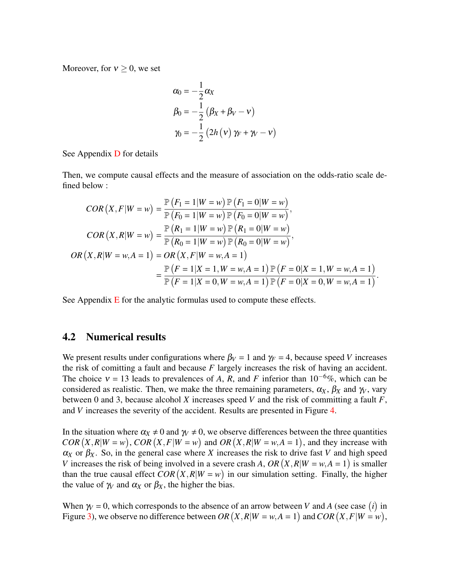Moreover, for  $v > 0$ , we set

$$
\alpha_0 = -\frac{1}{2}\alpha_X
$$
  
\n
$$
\beta_0 = -\frac{1}{2} (\beta_X + \beta_V - v)
$$
  
\n
$$
\gamma_0 = -\frac{1}{2} (2h(v) \gamma_F + \gamma_V - v)
$$

See Appendix [D](#page-24-0) for details

Then, we compute causal effects and the measure of association on the odds-ratio scale defined below :

$$
COR(X, F|W = w) = \frac{\mathbb{P}(F_1 = 1|W = w) \mathbb{P}(F_1 = 0|W = w)}{\mathbb{P}(F_0 = 1|W = w) \mathbb{P}(F_0 = 0|W = w)},
$$
  
\n
$$
COR(X, R|W = w) = \frac{\mathbb{P}(R_1 = 1|W = w) \mathbb{P}(R_1 = 0|W = w)}{\mathbb{P}(R_0 = 1|W = w) \mathbb{P}(R_0 = 0|W = w)},
$$
  
\n
$$
OR(X, R|W = w, A = 1) = OR(X, F|W = w, A = 1)
$$
  
\n
$$
= \frac{\mathbb{P}(F = 1|X = 1, W = w, A = 1) \mathbb{P}(F = 0|X = 1, W = w, A = 1)}{\mathbb{P}(F = 1|X = 0, W = w, A = 1) \mathbb{P}(F = 0|X = 0, W = w, A = 1)}.
$$

See Appendix  $E$  for the analytic formulas used to compute these effects.

#### 4.2 Numerical results

We present results under configurations where  $\beta_V = 1$  and  $\gamma_F = 4$ , because speed *V* increases the risk of comitting a fault and because *F* largely increases the risk of having an accident. The choice  $v = 13$  leads to prevalences of *A*, *R*, and *F* inferior than 10<sup>-6</sup>%, which can be considered as realistic. Then, we make the three remaining parameters,  $\alpha_X$ ,  $\beta_X$  and  $\gamma_V$ , vary between 0 and 3, because alcohol *X* increases speed *V* and the risk of committing a fault *F*, and *V* increases the severity of the accident. Results are presented in Figure [4.](#page-11-0)

In the situation where  $\alpha_X \neq 0$  and  $\gamma_V \neq 0$ , we observe differences between the three quantities  $COR(X, R | W = w)$ ,  $COR(X, F | W = w)$  and  $OR(X, R | W = w, A = 1)$ , and they increase with  $\alpha_X$  or  $\beta_X$ . So, in the general case where *X* increases the risk to drive fast *V* and high speed *V* increases the risk of being involved in a severe crash *A*, *OR*  $(X, R|W = w, A = 1)$  is smaller than the true causal effect  $COR(X, R|W = w)$  in our simulation setting. Finally, the higher the value of  $\gamma$  and  $\alpha$ <sub>X</sub> or  $\beta$ <sub>X</sub>, the higher the bias.

When  $\gamma = 0$ , which corresponds to the absence of an arrow between *V* and *A* (see case *(i)* in Figure [3\)](#page-8-0), we observe no difference between  $OR(X, R|W = w, A = 1)$  and  $COR(X, F|W = w)$ ,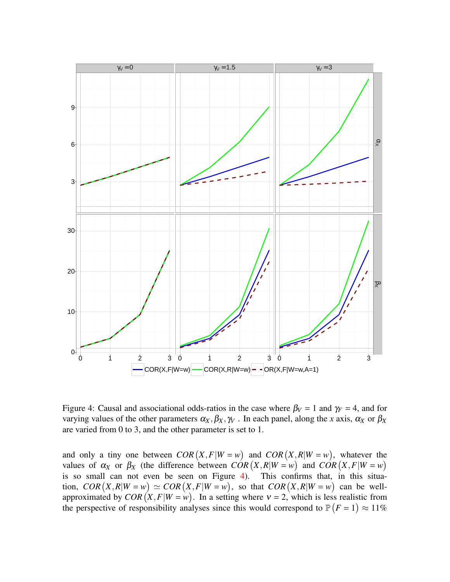

<span id="page-11-0"></span>Figure 4: Causal and associational odds-ratios in the case where  $\beta_V = 1$  and  $\gamma_F = 4$ , and for varying values of the other parameters  $\alpha_X, \beta_X, \gamma_V$ . In each panel, along the *x* axis,  $\alpha_X$  or  $\beta_X$ are varied from 0 to 3, and the other parameter is set to 1.

and only a tiny one between  $COR(X, F|W = w)$  and  $COR(X, R|W = w)$ , whatever the values of  $\alpha_X$  or  $\beta_X$  (the difference between  $COR(X, R|W = w)$  and  $COR(X, F|W = w)$ is so small can not even be seen on Figure [4\)](#page-11-0). This confirms that, in this situation,  $COR(X, R|W = w) \simeq COR(X, F|W = w)$ , so that  $COR(X, R|W = w)$  can be wellapproximated by  $COR(X, F|W = w)$ . In a setting where  $v = 2$ , which is less realistic from the perspective of responsibility analyses since this would correspond to  $P(F = 1) \approx 11\%$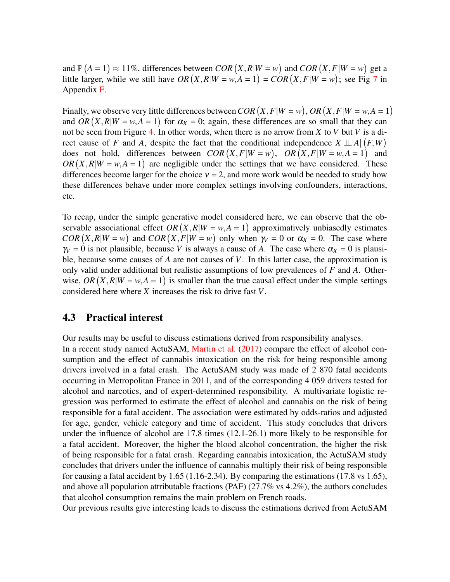and  $\mathbb{P}(A = 1) \approx 11\%$ , differences between *COR*  $(X, R|W = w)$  and *COR*  $(X, F|W = w)$  get a little larger, while we still have  $OR(X, R|W = w, A = 1) = COR(X, F|W = w)$ ; see Fig [7](#page-26-0) in Appendix [F.](#page-25-1)

Finally, we observe very little differences between  $COR(X, F|W = w)$ ,  $OR(X, F|W = w, A = 1)$ and *OR*  $(X, R|W = w, A = 1)$  for  $\alpha_X = 0$ ; again, these differences are so small that they can not be seen from Figure [4.](#page-11-0) In other words, when there is no arrow from *X* to *V* but *V* is a direct cause of *F* and *A*, despite the fact that the conditional independence  $X \perp A | (F, W)$ does not hold, differences between  $COR(X, F|W = w)$ ,  $OR(X, F|W = w, A = 1)$  and  $OR(X, R|W = w, A = 1)$  are negligible under the settings that we have considered. These differences become larger for the choice  $v = 2$ , and more work would be needed to study how these differences behave under more complex settings involving confounders, interactions, etc.

To recap, under the simple generative model considered here, we can observe that the observable associational effect  $OR(X, R|W = w, A = 1)$  approximatively unbiasedly estimates  $COR(X, R | W = w)$  and  $COR(X, F | W = w)$  only when  $\gamma_V = 0$  or  $\alpha_X = 0$ . The case where  $\gamma$  = 0 is not plausible, because *V* is always a cause of *A*. The case where  $\alpha$ <sub>X</sub> = 0 is plausible, because some causes of *A* are not causes of *V*. In this latter case, the approximation is only valid under additional but realistic assumptions of low prevalences of *F* and *A*. Otherwise,  $OR(X, R|W = w, A = 1)$  is smaller than the true causal effect under the simple settings considered here where *X* increases the risk to drive fast *V*.

#### 4.3 Practical interest

Our results may be useful to discuss estimations derived from responsibility analyses.

In a recent study named ActuSAM, [Martin et al.](#page-17-8) [\(2017\)](#page-17-8) compare the effect of alcohol consumption and the effect of cannabis intoxication on the risk for being responsible among drivers involved in a fatal crash. The ActuSAM study was made of 2 870 fatal accidents occurring in Metropolitan France in 2011, and of the corresponding 4 059 drivers tested for alcohol and narcotics, and of expert-determined responsibility. A multivariate logistic regression was performed to estimate the effect of alcohol and cannabis on the risk of being responsible for a fatal accident. The association were estimated by odds-ratios and adjusted for age, gender, vehicle category and time of accident. This study concludes that drivers under the influence of alcohol are 17.8 times (12.1-26.1) more likely to be responsible for a fatal accident. Moreover, the higher the blood alcohol concentration, the higher the risk of being responsible for a fatal crash. Regarding cannabis intoxication, the ActuSAM study concludes that drivers under the influence of cannabis multiply their risk of being responsible for causing a fatal accident by 1.65 (1.16-2.34). By comparing the estimations (17.8 vs 1.65), and above all population attributable fractions (PAF) (27.7% vs 4.2%), the authors concludes that alcohol consumption remains the main problem on French roads.

Our previous results give interesting leads to discuss the estimations derived from ActuSAM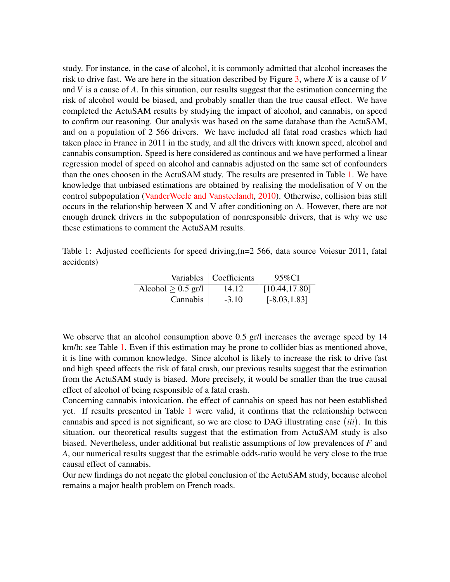study. For instance, in the case of alcohol, it is commonly admitted that alcohol increases the risk to drive fast. We are here in the situation described by Figure [3,](#page-8-0) where *X* is a cause of *V* and *V* is a cause of *A*. In this situation, our results suggest that the estimation concerning the risk of alcohol would be biased, and probably smaller than the true causal effect. We have completed the ActuSAM results by studying the impact of alcohol, and cannabis, on speed to confirm our reasoning. Our analysis was based on the same database than the ActuSAM, and on a population of 2 566 drivers. We have included all fatal road crashes which had taken place in France in 2011 in the study, and all the drivers with known speed, alcohol and cannabis consumption. Speed is here considered as continous and we have performed a linear regression model of speed on alcohol and cannabis adjusted on the same set of confounders than the ones choosen in the ActuSAM study. The results are presented in Table [1.](#page-13-0) We have knowledge that unbiased estimations are obtained by realising the modelisation of V on the control subpopulation [\(VanderWeele and Vansteelandt,](#page-18-8) [2010\)](#page-18-8). Otherwise, collision bias still occurs in the relationship between X and V after conditioning on A. However, there are not enough drunck drivers in the subpopulation of nonresponsible drivers, that is why we use these estimations to comment the ActuSAM results.

<span id="page-13-0"></span>Table 1: Adjusted coefficients for speed driving,(n=2 566, data source Voiesur 2011, fatal accidents)

|                      | Variables   Coefficients | 95%CI                 |
|----------------------|--------------------------|-----------------------|
| Alcohol $> 0.5$ gr/l | 14.12                    | $\vert$ [10.44,17.80] |
| Cannabis             | $-3.10$                  | $[-8.03, 1.83]$       |

We observe that an alcohol consumption above 0.5 gr/l increases the average speed by 14 km/h; see Table [1.](#page-13-0) Even if this estimation may be prone to collider bias as mentioned above, it is line with common knowledge. Since alcohol is likely to increase the risk to drive fast and high speed affects the risk of fatal crash, our previous results suggest that the estimation from the ActuSAM study is biased. More precisely, it would be smaller than the true causal effect of alcohol of being responsible of a fatal crash.

Concerning cannabis intoxication, the effect of cannabis on speed has not been established yet. If results presented in Table [1](#page-13-0) were valid, it confirms that the relationship between cannabis and speed is not significant, so we are close to DAG illustrating case *iii* . In this situation, our theoretical results suggest that the estimation from ActuSAM study is also biased. Nevertheless, under additional but realistic assumptions of low prevalences of *F* and *A*, our numerical results suggest that the estimable odds-ratio would be very close to the true causal effect of cannabis.

Our new findings do not negate the global conclusion of the ActuSAM study, because alcohol remains a major health problem on French roads.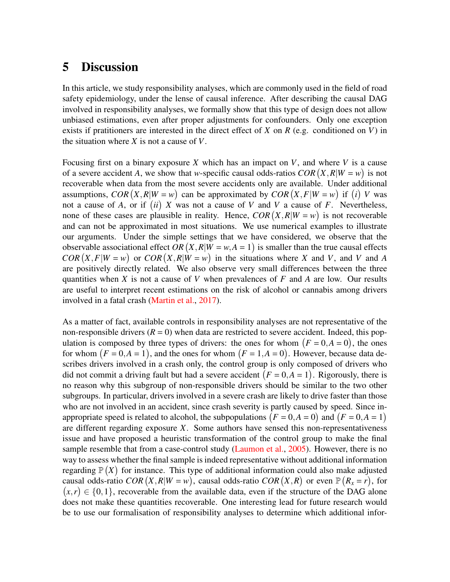### <span id="page-14-0"></span>5 Discussion

In this article, we study responsibility analyses, which are commonly used in the field of road safety epidemiology, under the lense of causal inference. After describing the causal DAG involved in responsibility analyses, we formally show that this type of design does not allow unbiased estimations, even after proper adjustments for confounders. Only one exception exists if pratitioners are interested in the direct effect of *X* on *R* (e.g. conditioned on *V*) in the situation where *X* is not a cause of *V*.

Focusing first on a binary exposure *X* which has an impact on *V*, and where *V* is a cause of a severe accident *A*, we show that *w*-specific causal odds-ratios  $COR(X, R|W = w)$  is not recoverable when data from the most severe accidents only are available. Under additional assumptions, *COR*  $(X, R | W = w)$  can be approximated by *COR*  $(X, F | W = w)$  if *(i) V* was not a cause of *A*, or if  $(ii)$  *X* was not a cause of *V* and *V* a cause of *F*. Nevertheless, none of these cases are plausible in reality. Hence,  $COR(X, R|W = w)$  is not recoverable and can not be approximated in most situations. We use numerical examples to illustrate our arguments. Under the simple settings that we have considered, we observe that the observable associational effect  $OR(X, R|W = w, A = 1)$  is smaller than the true causal effects  $COR(X, F | W = w)$  or  $COR(X, R | W = w)$  in the situations where *X* and *V*, and *V* and *A* are positively directly related. We also observe very small differences between the three quantities when *X* is not a cause of *V* when prevalences of *F* and *A* are low. Our results are useful to interpret recent estimations on the risk of alcohol or cannabis among drivers involved in a fatal crash [\(Martin et al.,](#page-17-8) [2017\)](#page-17-8).

As a matter of fact, available controls in responsibility analyses are not representative of the non-responsible drivers  $(R = 0)$  when data are restricted to severe accident. Indeed, this population is composed by three types of drivers: the ones for whom  $(F = 0, A = 0)$ , the ones for whom  $(F = 0, A = 1)$ , and the ones for whom  $(F = 1, A = 0)$ . However, because data describes drivers involved in a crash only, the control group is only composed of drivers who did not commit a driving fault but had a severe accident  $(F = 0, A = 1)$ . Rigorously, there is no reason why this subgroup of non-responsible drivers should be similar to the two other subgroups. In particular, drivers involved in a severe crash are likely to drive faster than those who are not involved in an accident, since crash severity is partly caused by speed. Since inappropriate speed is related to alcohol, the subpopulations  $(F = 0, A = 0)$  and  $(F = 0, A = 1)$ are different regarding exposure *X*. Some authors have sensed this non-representativeness issue and have proposed a heuristic transformation of the control group to make the final sample resemble that from a case-control study [\(Laumon et al.,](#page-17-9) [2005\)](#page-17-9). However, there is no way to assess whether the final sample is indeed representative without additional information regarding  $\mathbb{P}(X)$  for instance. This type of additional information could also make adjusted causal odds-ratio  $COR(X, R|W = w)$ , causal odds-ratio  $COR(X, R)$  or even  $\mathbb{P}(R_x = r)$ , for  $(x,r) \in \{0,1\}$ , recoverable from the available data, even if the structure of the DAG alone does not make these quantities recoverable. One interesting lead for future research would be to use our formalisation of responsibility analyses to determine which additional infor-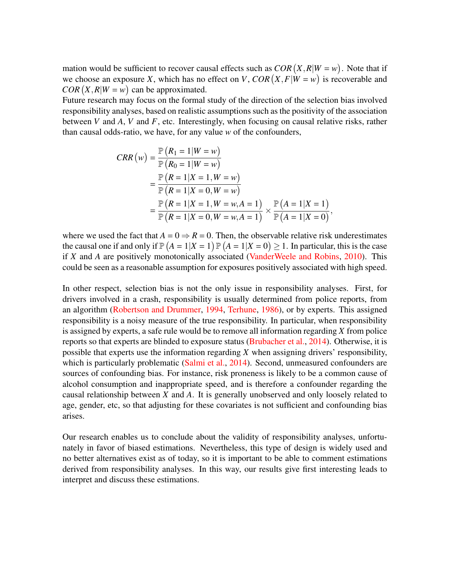mation would be sufficient to recover causal effects such as  $COR(X, R|W = w)$ . Note that if we choose an exposure *X*, which has no effect on *V*,  $COR(X, F|W = w)$  is recoverable and  $COR(X, R | W = w)$  can be approximated.

Future research may focus on the formal study of the direction of the selection bias involved responsibility analyses, based on realistic assumptions such as the positivity of the association between *V* and *A*, *V* and *F*, etc. Interestingly, when focusing on causal relative risks, rather than causal odds-ratio, we have, for any value *w* of the confounders,

$$
CRR(w) = \frac{\mathbb{P}(R_1 = 1 | W = w)}{\mathbb{P}(R_0 = 1 | W = w)}
$$
  
= 
$$
\frac{\mathbb{P}(R = 1 | X = 1, W = w)}{\mathbb{P}(R = 1 | X = 0, W = w)}
$$
  
= 
$$
\frac{\mathbb{P}(R = 1 | X = 1, W = w, A = 1)}{\mathbb{P}(R = 1 | X = 0, W = w, A = 1)} \times \frac{\mathbb{P}(A = 1 | X = 1)}{\mathbb{P}(A = 1 | X = 0)},
$$

where we used the fact that  $A = 0 \Rightarrow R = 0$ . Then, the observable relative risk underestimates the causal one if and only if  $\mathbb{P}(A=1|X=1)\mathbb{P}(A=1|X=0)\geq 1$ . In particular, this is the case if *X* and *A* are positively monotonically associated [\(VanderWeele and Robins,](#page-18-9) [2010\)](#page-18-9). This could be seen as a reasonable assumption for exposures positively associated with high speed.

In other respect, selection bias is not the only issue in responsibility analyses. First, for drivers involved in a crash, responsibility is usually determined from police reports, from an algorithm [\(Robertson and Drummer,](#page-17-10) [1994,](#page-17-10) [Terhune,](#page-18-2) [1986\)](#page-18-2), or by experts. This assigned responsibility is a noisy measure of the true responsibility. In particular, when responsibility is assigned by experts, a safe rule would be to remove all information regarding *X* from police reports so that experts are blinded to exposure status [\(Brubacher et al.,](#page-16-5) [2014\)](#page-16-5). Otherwise, it is possible that experts use the information regarding *X* when assigning drivers' responsibility, which is particularly problematic [\(Salmi et al.,](#page-17-3) [2014\)](#page-17-3). Second, unmeasured confounders are sources of confounding bias. For instance, risk proneness is likely to be a common cause of alcohol consumption and inappropriate speed, and is therefore a confounder regarding the causal relationship between *X* and *A*. It is generally unobserved and only loosely related to age, gender, etc, so that adjusting for these covariates is not sufficient and confounding bias arises.

Our research enables us to conclude about the validity of responsibility analyses, unfortunately in favor of biased estimations. Nevertheless, this type of design is widely used and no better alternatives exist as of today, so it is important to be able to comment estimations derived from responsibility analyses. In this way, our results give first interesting leads to interpret and discuss these estimations.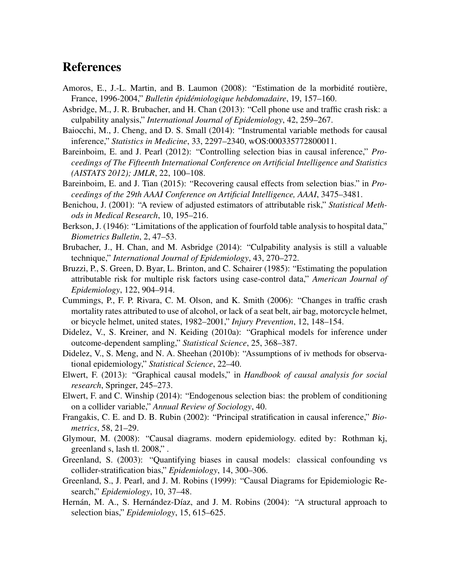## References

- <span id="page-16-13"></span>Amoros, E., J.-L. Martin, and B. Laumon (2008): "Estimation de la morbidité routière, France, 1996-2004," *Bulletin épidémiologique hebdomadaire*, 19, 157–160.
- <span id="page-16-6"></span>Asbridge, M., J. R. Brubacher, and H. Chan (2013): "Cell phone use and traffic crash risk: a culpability analysis," *International Journal of Epidemiology*, 42, 259–267.
- <span id="page-16-1"></span>Baiocchi, M., J. Cheng, and D. S. Small (2014): "Instrumental variable methods for causal inference," *Statistics in Medicine*, 33, 2297–2340, wOS:000335772800011.
- <span id="page-16-10"></span>Bareinboim, E. and J. Pearl (2012): "Controlling selection bias in causal inference," *Proceedings of The Fifteenth International Conference on Artificial Intelligence and Statistics (AISTATS 2012); JMLR*, 22, 100–108.
- <span id="page-16-9"></span>Bareinboim, E. and J. Tian (2015): "Recovering causal effects from selection bias." in *Proceedings of the 29th AAAI Conference on Artificial Intelligence, AAAI*, 3475–3481.
- Benichou, J. (2001): "A review of adjusted estimators of attributable risk," *Statistical Methods in Medical Research*, 10, 195–216.
- Berkson, J. (1946): "Limitations of the application of fourfold table analysis to hospital data," *Biometrics Bulletin*, 2, 47–53.
- <span id="page-16-5"></span>Brubacher, J., H. Chan, and M. Asbridge (2014): "Culpability analysis is still a valuable technique," *International Journal of Epidemiology*, 43, 270–272.
- Bruzzi, P., S. Green, D. Byar, L. Brinton, and C. Schairer (1985): "Estimating the population attributable risk for multiple risk factors using case-control data," *American Journal of Epidemiology*, 122, 904–914.
- <span id="page-16-0"></span>Cummings, P., F. P. Rivara, C. M. Olson, and K. Smith (2006): "Changes in traffic crash mortality rates attributed to use of alcohol, or lack of a seat belt, air bag, motorcycle helmet, or bicycle helmet, united states, 1982–2001," *Injury Prevention*, 12, 148–154.
- <span id="page-16-12"></span>Didelez, V., S. Kreiner, and N. Keiding (2010a): "Graphical models for inference under outcome-dependent sampling," *Statistical Science*, 25, 368–387.
- <span id="page-16-15"></span>Didelez, V., S. Meng, and N. A. Sheehan (2010b): "Assumptions of iv methods for observational epidemiology," *Statistical Science*, 22–40.
- <span id="page-16-3"></span>Elwert, F. (2013): "Graphical causal models," in *Handbook of causal analysis for social research*, Springer, 245–273.
- <span id="page-16-4"></span>Elwert, F. and C. Winship (2014): "Endogenous selection bias: the problem of conditioning on a collider variable," *Annual Review of Sociology*, 40.
- <span id="page-16-14"></span>Frangakis, C. E. and D. B. Rubin (2002): "Principal stratification in causal inference," *Biometrics*, 58, 21–29.
- <span id="page-16-8"></span>Glymour, M. (2008): "Causal diagrams. modern epidemiology. edited by: Rothman kj, greenland s, lash tl. 2008," .
- <span id="page-16-2"></span>Greenland, S. (2003): "Quantifying biases in causal models: classical confounding vs collider-stratification bias," *Epidemiology*, 14, 300–306.
- <span id="page-16-7"></span>Greenland, S., J. Pearl, and J. M. Robins (1999): "Causal Diagrams for Epidemiologic Research," *Epidemiology*, 10, 37–48.
- <span id="page-16-11"></span>Hernán, M. A., S. Hernández-Díaz, and J. M. Robins (2004): "A structural approach to selection bias," *Epidemiology*, 15, 615–625.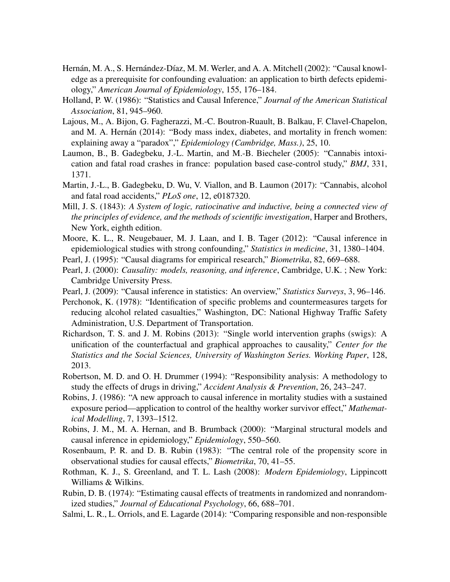- <span id="page-17-1"></span>Hernán, M. A., S. Hernández-Díaz, M. M. Werler, and A. A. Mitchell (2002): "Causal knowledge as a prerequisite for confounding evaluation: an application to birth defects epidemiology," *American Journal of Epidemiology*, 155, 176–184.
- <span id="page-17-12"></span>Holland, P. W. (1986): "Statistics and Causal Inference," *Journal of the American Statistical Association*, 81, 945–960.
- Lajous, M., A. Bijon, G. Fagherazzi, M.-C. Boutron-Ruault, B. Balkau, F. Clavel-Chapelon, and M. A. Hernán (2014): "Body mass index, diabetes, and mortality in french women: explaining away a "paradox"," *Epidemiology (Cambridge, Mass.)*, 25, 10.
- <span id="page-17-9"></span>Laumon, B., B. Gadegbeku, J.-L. Martin, and M.-B. Biecheler (2005): "Cannabis intoxication and fatal road crashes in france: population based case-control study," *BMJ*, 331, 1371.
- <span id="page-17-8"></span>Martin, J.-L., B. Gadegbeku, D. Wu, V. Viallon, and B. Laumon (2017): "Cannabis, alcohol and fatal road accidents," *PLoS one*, 12, e0187320.
- <span id="page-17-0"></span>Mill, J. S. (1843): *A System of logic, ratiocinative and inductive, being a connected view of the principles of evidence, and the methods of scientific investigation*, Harper and Brothers, New York, eighth edition.
- <span id="page-17-16"></span>Moore, K. L., R. Neugebauer, M. J. Laan, and I. B. Tager (2012): "Causal inference in epidemiological studies with strong confounding," *Statistics in medicine*, 31, 1380–1404.
- <span id="page-17-4"></span>Pearl, J. (1995): "Causal diagrams for empirical research," *Biometrika*, 82, 669–688.
- <span id="page-17-6"></span>Pearl, J. (2000): *Causality: models, reasoning, and inference*, Cambridge, U.K. ; New York: Cambridge University Press.
- <span id="page-17-5"></span>Pearl, J. (2009): "Causal inference in statistics: An overview," *Statistics Surveys*, 3, 96–146.
- <span id="page-17-2"></span>Perchonok, K. (1978): "Identification of specific problems and countermeasures targets for reducing alcohol related casualties," Washington, DC: National Highway Traffic Safety Administration, U.S. Department of Transportation.
- <span id="page-17-17"></span>Richardson, T. S. and J. M. Robins (2013): "Single world intervention graphs (swigs): A unification of the counterfactual and graphical approaches to causality," *Center for the Statistics and the Social Sciences, University of Washington Series. Working Paper*, 128, 2013.
- <span id="page-17-10"></span>Robertson, M. D. and O. H. Drummer (1994): "Responsibility analysis: A methodology to study the effects of drugs in driving," *Accident Analysis & Prevention*, 26, 243–247.
- <span id="page-17-14"></span>Robins, J. (1986): "A new approach to causal inference in mortality studies with a sustained exposure period—application to control of the healthy worker survivor effect," *Mathematical Modelling*, 7, 1393–1512.
- <span id="page-17-13"></span>Robins, J. M., M. A. Hernan, and B. Brumback (2000): "Marginal structural models and causal inference in epidemiology," *Epidemiology*, 550–560.
- <span id="page-17-15"></span>Rosenbaum, P. R. and D. B. Rubin (1983): "The central role of the propensity score in observational studies for causal effects," *Biometrika*, 70, 41–55.
- <span id="page-17-7"></span>Rothman, K. J., S. Greenland, and T. L. Lash (2008): *Modern Epidemiology*, Lippincott Williams & Wilkins.
- <span id="page-17-11"></span>Rubin, D. B. (1974): "Estimating causal effects of treatments in randomized and nonrandomized studies," *Journal of Educational Psychology*, 66, 688–701.
- <span id="page-17-3"></span>Salmi, L. R., L. Orriols, and E. Lagarde (2014): "Comparing responsible and non-responsible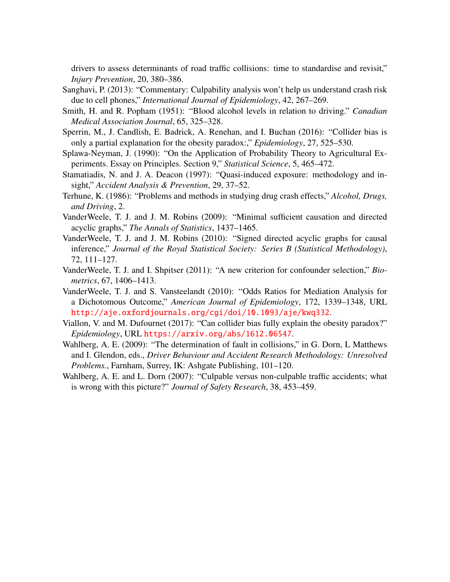drivers to assess determinants of road traffic collisions: time to standardise and revisit," *Injury Prevention*, 20, 380–386.

- <span id="page-18-5"></span>Sanghavi, P. (2013): "Commentary: Culpability analysis won't help us understand crash risk due to cell phones," *International Journal of Epidemiology*, 42, 267–269.
- <span id="page-18-1"></span>Smith, H. and R. Popham (1951): "Blood alcohol levels in relation to driving." *Canadian Medical Association Journal*, 65, 325–328.
- <span id="page-18-11"></span>Sperrin, M., J. Candlish, E. Badrick, A. Renehan, and I. Buchan (2016): "Collider bias is only a partial explanation for the obesity paradox:," *Epidemiology*, 27, 525–530.
- <span id="page-18-10"></span>Splawa-Neyman, J. (1990): "On the Application of Probability Theory to Agricultural Experiments. Essay on Principles. Section 9," *Statistical Science*, 5, 465–472.
- <span id="page-18-0"></span>Stamatiadis, N. and J. A. Deacon (1997): "Quasi-induced exposure: methodology and insight," *Accident Analysis & Prevention*, 29, 37–52.
- <span id="page-18-2"></span>Terhune, K. (1986): "Problems and methods in studying drug crash effects," *Alcohol, Drugs, and Driving*, 2.
- <span id="page-18-6"></span>VanderWeele, T. J. and J. M. Robins (2009): "Minimal sufficient causation and directed acyclic graphs," *The Annals of Statistics*, 1437–1465.
- <span id="page-18-9"></span>VanderWeele, T. J. and J. M. Robins (2010): "Signed directed acyclic graphs for causal inference," *Journal of the Royal Statistical Society: Series B (Statistical Methodology)*, 72, 111–127.
- <span id="page-18-7"></span>VanderWeele, T. J. and I. Shpitser (2011): "A new criterion for confounder selection," *Biometrics*, 67, 1406–1413.
- <span id="page-18-8"></span>VanderWeele, T. J. and S. Vansteelandt (2010): "Odds Ratios for Mediation Analysis for a Dichotomous Outcome," *American Journal of Epidemiology*, 172, 1339–1348, URL <http://aje.oxfordjournals.org/cgi/doi/10.1093/aje/kwq332>.
- Viallon, V. and M. Dufournet (2017): "Can collider bias fully explain the obesity paradox?" *Epidemiology*, URL <https://arxiv.org/abs/1612.06547>.
- <span id="page-18-4"></span>Wahlberg, A. E. (2009): "The determination of fault in collisions," in G. Dorn, L Matthews and I. Glendon, eds., *Driver Behaviour and Accident Research Methodology: Unresolved Problems.*, Farnham, Surrey, IK: Ashgate Publishing, 101–120.
- <span id="page-18-3"></span>Wahlberg, A. E. and L. Dorn (2007): "Culpable versus non-culpable traffic accidents; what is wrong with this picture?" *Journal of Safety Research*, 38, 453–459.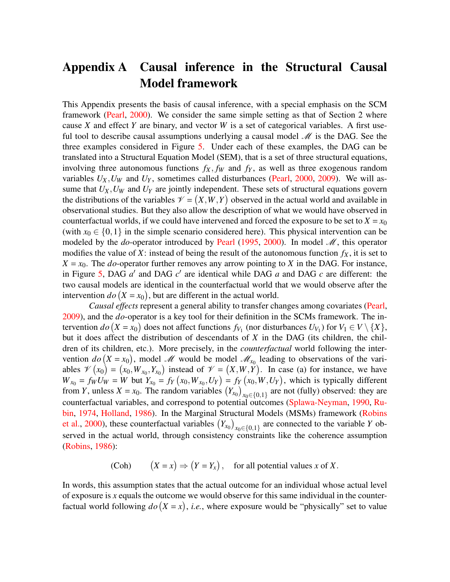## <span id="page-19-0"></span>Appendix A Causal inference in the Structural Causal Model framework

This Appendix presents the basis of causal inference, with a special emphasis on the SCM framework [\(Pearl,](#page-17-6) [2000\)](#page-17-6). We consider the same simple setting as that of Section 2 where cause *X* and effect *Y* are binary, and vector *W* is a set of categorical variables. A first useful tool to describe causal assumptions underlying a causal model  $\mathcal{M}$  is the DAG. See the three examples considered in Figure [5.](#page-20-0) Under each of these examples, the DAG can be translated into a Structural Equation Model (SEM), that is a set of three structural equations, involving three autonomous functions  $f_X$ ,  $f_W$  and  $f_Y$ , as well as three exogenous random variables  $U_X$ ,  $U_W$  and  $U_Y$ , sometimes called disturbances [\(Pearl,](#page-17-6) [2000,](#page-17-6) [2009\)](#page-17-5). We will assume that *UX*,*U<sup>W</sup>* and *U<sup>Y</sup>* are jointly independent. These sets of structural equations govern the distributions of the variables  $\mathcal{V} = (X, W, Y)$  observed in the actual world and available in observational studies. But they also allow the description of what we would have observed in counterfactual worlds, if we could have intervened and forced the exposure to be set to  $X = x_0$ (with  $x_0 \in \{0,1\}$  in the simple scenario considered here). This physical intervention can be modeled by the *do*-operator introduced by [Pearl](#page-17-4) [\(1995,](#page-17-4) [2000\)](#page-17-6). In model *M*, this operator modifies the value of *X*: instead of being the result of the autonomous function  $f_X$ , it is set to  $X = x_0$ . The *do*-operator further removes any arrow pointing to *X* in the DAG. For instance, in Figure [5,](#page-20-0) DAG  $a'$  and DAG  $c'$  are identical while DAG  $a$  and DAG  $c$  are different: the two causal models are identical in the counterfactual world that we would observe after the intervention  $do(X = x_0)$ , but are different in the actual world.

*Causal effects* represent a general ability to transfer changes among covariates [\(Pearl,](#page-17-5) [2009\)](#page-17-5), and the *do*-operator is a key tool for their definition in the SCMs framework. The intervention  $do(X = x_0)$  does not affect functions  $f_{V_1}$  (nor disturbances  $U_{V_1}$ ) for  $V_1 \in V \setminus \{X\}$ , but it does affect the distribution of descendants of *X* in the DAG (its children, the children of its children, etc.). More precisely, in the *counterfactual* world following the intervention  $do(X = x_0)$ , model *M* would be model  $M_{x_0}$  leading to observations of the variables  $\mathcal{V}(x_0) = (x_0, W_{x_0}, Y_{x_0})$  instead of  $\mathcal{V} = (X, W, Y)$ . In case (a) for instance, we have  $W_{x_0} = f_W U_W = W$  but  $Y_{x_0} = f_Y(x_0, W_{x_0}, U_Y) = f_Y(x_0, W, U_Y)$ , which is typically different from *Y*, unless *X* = *x*<sub>0</sub>. The random variables  $(Y_{x_0})_{x_0 \in \{0,1\}}$  are not (fully) observed: they are counterfactual variables, and correspond to potential outcomes [\(Splawa-Neyman,](#page-18-10) [1990,](#page-18-10) [Ru](#page-17-11)[bin,](#page-17-11) [1974,](#page-17-11) [Holland,](#page-17-12) [1986\)](#page-17-12). In the Marginal Structural Models (MSMs) framework [\(Robins](#page-17-13) [et al.,](#page-17-13) [2000\)](#page-17-13), these counterfactual variables  $(Y_{x_0})_{x_0 \in \{0,1\}}$  are connected to the variable *Y* observed in the actual world, through consistency constraints like the coherence assumption [\(Robins,](#page-17-14) [1986\)](#page-17-14):

> (Coh)  $(X = x) \Rightarrow (Y = Y_x)$ , for all potential values *x* of *X*.

In words, this assumption states that the actual outcome for an individual whose actual level of exposure is *x* equals the outcome we would observe for this same individual in the counterfactual world following  $do(X = x)$ , *i.e.*, where exposure would be "physically" set to value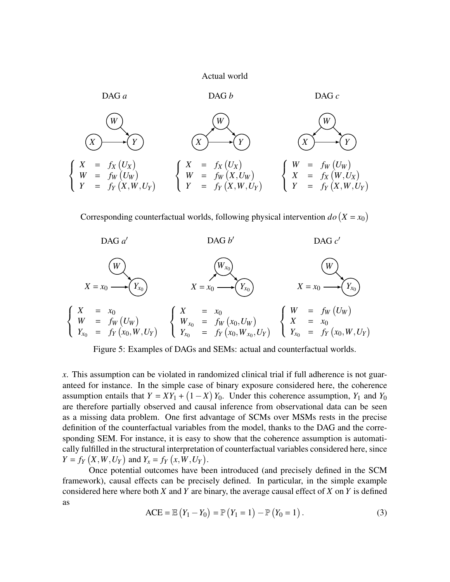#### Actual world



Corresponding counterfactual worlds, following physical intervention  $do(X = x_0)$ 



<span id="page-20-0"></span>Figure 5: Examples of DAGs and SEMs: actual and counterfactual worlds.

*x*. This assumption can be violated in randomized clinical trial if full adherence is not guaranteed for instance. In the simple case of binary exposure considered here, the coherence assumption entails that  $Y = XY_1 + (1 - X)Y_0$ . Under this coherence assumption,  $Y_1$  and  $Y_0$ are therefore partially observed and causal inference from observational data can be seen as a missing data problem. One first advantage of SCMs over MSMs rests in the precise definition of the counterfactual variables from the model, thanks to the DAG and the corresponding SEM. For instance, it is easy to show that the coherence assumption is automatically fulfilled in the structural interpretation of counterfactual variables considered here, since  $Y = f_Y(X, W, U_Y)$  and  $Y_x = f_Y(x, W, U_Y)$ .

Once potential outcomes have been introduced (and precisely defined in the SCM framework), causal effects can be precisely defined. In particular, in the simple example considered here where both *X* and *Y* are binary, the average causal effect of *X* on *Y* is defined as

$$
ACE = \mathbb{E}(Y_1 - Y_0) = \mathbb{P}(Y_1 = 1) - \mathbb{P}(Y_0 = 1).
$$
 (3)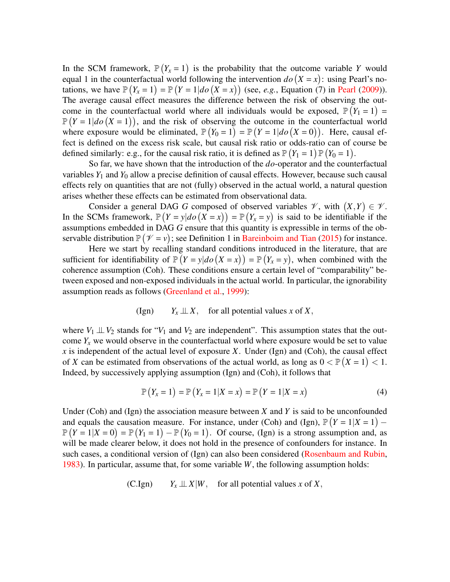In the SCM framework,  $\mathbb{P}(Y_x = 1)$  is the probability that the outcome variable *Y* would equal 1 in the counterfactual world following the intervention  $do(X = x)$ : using Pearl's notations, we have  $\mathbb{P}(Y_x = 1) = \mathbb{P}(Y = 1 | do (X = x))$  (see, *e.g.*, Equation (7) in [Pearl](#page-17-5) [\(2009\)](#page-17-5)). The average causal effect measures the difference between the risk of observing the outcome in the counterfactual world where all individuals would be exposed,  $\mathbb{P}(Y_1 = 1) =$  $\mathbb{P}(Y=1|do(X=1))$ , and the risk of observing the outcome in the counterfactual world where exposure would be eliminated,  $\mathbb{P}(Y_0 = 1) = \mathbb{P}(Y = 1 | do (X = 0))$ . Here, causal effect is defined on the excess risk scale, but causal risk ratio or odds-ratio can of course be defined similarly: e.g., for the causal risk ratio, it is defined as  $\mathbb{P}(Y_1 = 1)\mathbb{P}(Y_0 = 1)$ .

So far, we have shown that the introduction of the *do*-operator and the counterfactual variables  $Y_1$  and  $Y_0$  allow a precise definition of causal effects. However, because such causal effects rely on quantities that are not (fully) observed in the actual world, a natural question arises whether these effects can be estimated from observational data.

Consider a general DAG G composed of observed variables  $\mathscr{V}$ , with  $(X,Y) \in \mathscr{V}$ . In the SCMs framework,  $\mathbb{P}(Y = y | do (X = x)) = \mathbb{P}(Y_x = y)$  is said to be identifiable if the assumptions embedded in DAG *G* ensure that this quantity is expressible in terms of the observable distribution  $\mathbb{P}(\mathcal{V} = v)$ ; see Definition 1 in [Bareinboim and Tian](#page-16-9) [\(2015\)](#page-16-9) for instance.

Here we start by recalling standard conditions introduced in the literature, that are sufficient for identifiability of  $\mathbb{P}(Y = y|do(X = x)) = \mathbb{P}(Y_x = y)$ , when combined with the coherence assumption (Coh). These conditions ensure a certain level of "comparability" between exposed and non-exposed individuals in the actual world. In particular, the ignorability assumption reads as follows [\(Greenland et al.,](#page-16-7) [1999\)](#page-16-7):

$$
(Ign) \t Y_x \perp \!\!\! \perp X, \t for all potential values x of X,
$$

where  $V_1 \perp\!\!\!\perp V_2$  stands for " $V_1$  and  $V_2$  are independent". This assumption states that the outcome  $Y_x$  we would observe in the counterfactual world where exposure would be set to value *x* is independent of the actual level of exposure *X*. Under (Ign) and (Coh), the causal effect of *X* can be estimated from observations of the actual world, as long as  $0 < P(X = 1) < 1$ . Indeed, by successively applying assumption (Ign) and (Coh), it follows that

$$
\mathbb{P}(Y_x = 1) = \mathbb{P}(Y_x = 1 | X = x) = \mathbb{P}(Y = 1 | X = x)
$$
\n(4)

Under (Coh) and (Ign) the association measure between *X* and *Y* is said to be unconfounded and equals the causation measure. For instance, under (Coh) and (Ign),  $P(Y = 1 | X = 1)$  –  $\mathbb{P}(Y=1|X=0) = \mathbb{P}(Y_1=1) - \mathbb{P}(Y_0=1)$ . Of course, (Ign) is a strong assumption and, as will be made clearer below, it does not hold in the presence of confounders for instance. In such cases, a conditional version of (Ign) can also been considered [\(Rosenbaum and Rubin,](#page-17-15) [1983\)](#page-17-15). In particular, assume that, for some variable *W*, the following assumption holds:

(C.Ign) 
$$
Y_x \perp \!\!\! \perp X |W
$$
, for all potential values x of X,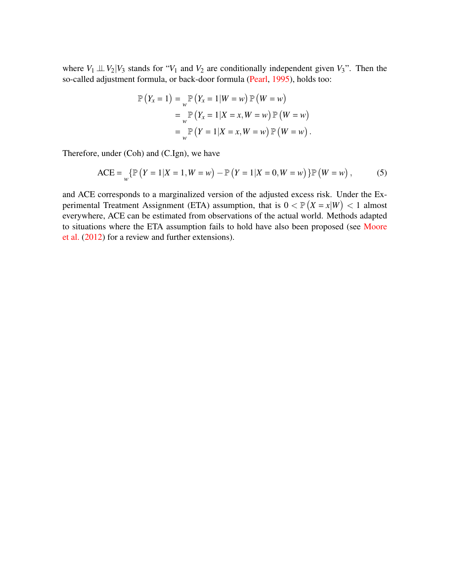where  $V_1 \perp\!\!\!\perp V_2 | V_3$  stands for " $V_1$  and  $V_2$  are conditionally independent given  $V_3$ ". Then the so-called adjustment formula, or back-door formula [\(Pearl,](#page-17-4) [1995\)](#page-17-4), holds too:

$$
\mathbb{P}\left(Y_x = 1\right) = \mathop{\mathbb{P}}\limits_{w} \left(Y_x = 1 \middle| W = w\right) \mathbb{P}\left(W = w\right)
$$

$$
= \mathop{\mathbb{P}}\limits_{w} \left(Y_x = 1 \middle| X = x, W = w\right) \mathbb{P}\left(W = w\right)
$$

$$
= \mathop{\mathbb{P}}\limits_{w} \left(Y = 1 \middle| X = x, W = w\right) \mathbb{P}\left(W = w\right).
$$

Therefore, under (Coh) and (C.Ign), we have

$$
\text{ACE} = \bigvee_{W} \{ \mathbb{P} \left( Y = 1 | X = 1, W = w \right) - \mathbb{P} \left( Y = 1 | X = 0, W = w \right) \} \mathbb{P} \left( W = w \right), \tag{5}
$$

and ACE corresponds to a marginalized version of the adjusted excess risk. Under the Experimental Treatment Assignment (ETA) assumption, that is  $0 < \mathbb{P}(X = x|W) < 1$  almost everywhere, ACE can be estimated from observations of the actual world. Methods adapted to situations where the ETA assumption fails to hold have also been proposed (see [Moore](#page-17-16) [et al.](#page-17-16) [\(2012\)](#page-17-16) for a review and further extensions).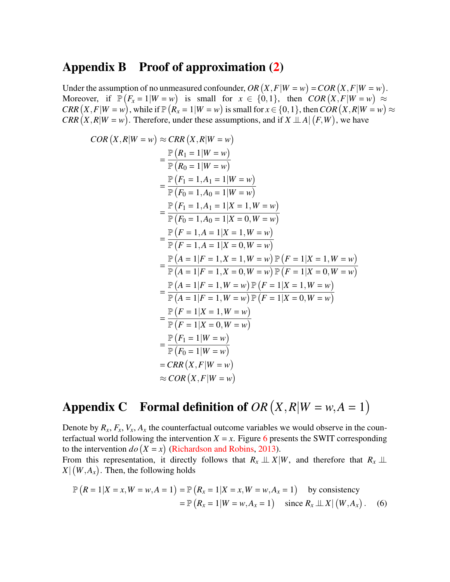## <span id="page-23-1"></span>Appendix B Proof of approximation [\(2\)](#page-8-1)

Under the assumption of no unmeasured confounder,  $OR(X, F|W = w) = COR(X, F|W = w)$ . Moreover, if  $\mathbb{P}(F_x = 1 | W = w)$  is small for  $x \in \{0, 1\}$ , then  $COR(X, F | W = w) \approx$  $CRR(X, F|W = w)$ , while if  $\mathbb{P}(R_x = 1|W = w)$  is small for  $x \in \{0, 1\}$ , then  $COR(X, R|W = w) \approx$  $CRR(X, R|W = w)$ . Therefore, under these assumptions, and if  $X \perp A | (F, W)$ , we have

$$
COR(X, R|W = w) ≈ CRR (X, R|W = w)
$$
  
=  $\frac{\mathbb{P}(R_1 = 1|W = w)}{\mathbb{P}(R_0 = 1|W = w)}$   
=  $\frac{\mathbb{P}(F_1 = 1, A_1 = 1|W = w)}{\mathbb{P}(F_0 = 1, A_0 = 1|W = w)}$   
=  $\frac{\mathbb{P}(F_1 = 1, A_1 = 1|X = 1, W = w)}{\mathbb{P}(F_0 = 1, A_0 = 1|X = 0, W = w)}$   
=  $\frac{\mathbb{P}(F = 1, A = 1|X = 1, W = w)}{\mathbb{P}(F = 1, A = 1|X = 0, W = w)}$   
=  $\frac{\mathbb{P}(A = 1|F = 1, X = 1, W = w) \mathbb{P}(F = 1|X = 1, W = w)}{\mathbb{P}(A = 1|F = 1, X = 0, W = w) \mathbb{P}(F = 1|X = 0, W = w)}$   
=  $\frac{\mathbb{P}(A = 1|F = 1, W = w) \mathbb{P}(F = 1|X = 1, W = w)}{\mathbb{P}(A = 1|F = 1, W = w) \mathbb{P}(F = 1|X = 0, W = w)}$   
=  $\frac{\mathbb{P}(F = 1|X = 1, W = w)}{\mathbb{P}(F = 1|X = 0, W = w)}$   
=  $\frac{\mathbb{P}(F_1 = 1|W = w)}{\mathbb{P}(F_0 = 1|W = w)}$   
=  $CRR(X, F|W = w)$   
=  $CRR(X, F|W = w)$   
≈  $COR(X, F|W = w)$ 

## <span id="page-23-0"></span>Appendix C Formal definition of  $OR(X, R|W = w, A = 1)$

Denote by  $R_x$ ,  $F_x$ ,  $V_x$ ,  $A_x$  the counterfactual outcome variables we would observe in the counterfactual world following the intervention  $X = x$ . Figure [6](#page-24-1) presents the SWIT corresponding to the intervention  $do(X = x)$  [\(Richardson and Robins,](#page-17-17) [2013\)](#page-17-17). From this representation, it directly follows that  $R_x \perp\!\!\!\perp X|W$ , and therefore that  $R_x \perp\!\!\!\perp$  $X \mid (W, A_x)$ . Then, the following holds

$$
\mathbb{P}\left(R = 1 | X = x, W = w, A = 1\right) = \mathbb{P}\left(R_x = 1 | X = x, W = w, A_x = 1\right) \text{ by consistency}
$$
  
=  $\mathbb{P}\left(R_x = 1 | W = w, A_x = 1\right) \text{ since } R_x \perp \perp X | (W, A_x) .$  (6)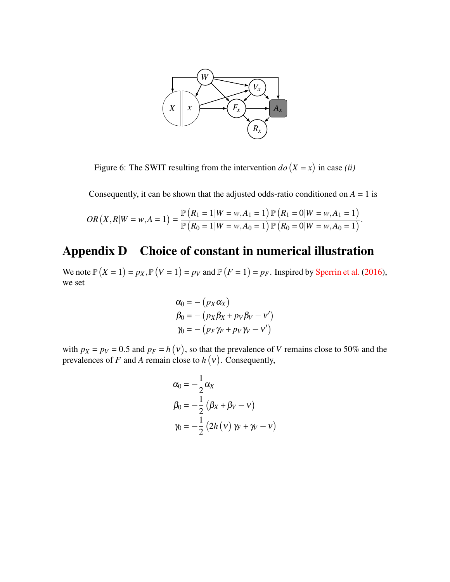

<span id="page-24-1"></span>Figure 6: The SWIT resulting from the intervention  $do(X = x)$  in case *(ii)* 

Consequently, it can be shown that the adjusted odds-ratio conditioned on  $A = 1$  is

$$
OR(X, R|W = w, A = 1) = \frac{\mathbb{P}(R_1 = 1|W = w, A_1 = 1) \mathbb{P}(R_1 = 0|W = w, A_1 = 1)}{\mathbb{P}(R_0 = 1|W = w, A_0 = 1) \mathbb{P}(R_0 = 0|W = w, A_0 = 1)}.
$$

## <span id="page-24-0"></span>Appendix D Choice of constant in numerical illustration

We note  $\mathbb{P}(X = 1) = p_X, \mathbb{P}(V = 1) = p_V$  and  $\mathbb{P}(F = 1) = p_F$ . Inspired by [Sperrin et al.](#page-18-11) [\(2016\)](#page-18-11), we set

$$
\alpha_0 = - (p_X \alpha_X)
$$
  
\n
$$
\beta_0 = - (p_X \beta_X + p_V \beta_V - v')
$$
  
\n
$$
\gamma_0 = - (p_F \gamma_F + p_V \gamma_V - v')
$$

with  $p_X = p_V = 0.5$  and  $p_F = h(v)$ , so that the prevalence of *V* remains close to 50% and the prevalences of  $F$  and  $A$  remain close to  $h(v)$ . Consequently,

$$
\alpha_0 = -\frac{1}{2}\alpha_X
$$
  
\n
$$
\beta_0 = -\frac{1}{2} (\beta_X + \beta_V - v)
$$
  
\n
$$
\gamma_0 = -\frac{1}{2} (2h(v) \gamma_F + \gamma_V - v)
$$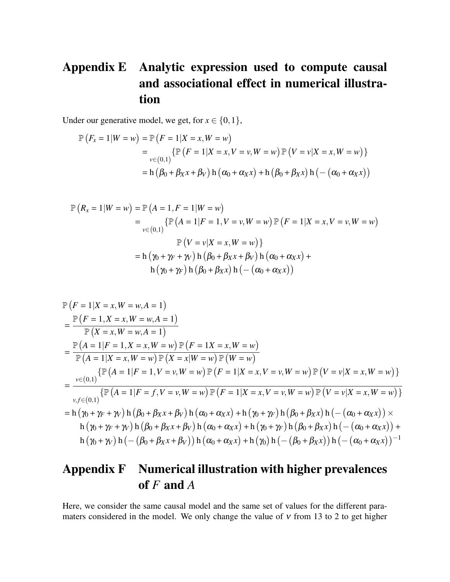## <span id="page-25-0"></span>Appendix E Analytic expression used to compute causal and associational effect in numerical illustration

Under our generative model, we get, for  $x \in \{0, 1\}$ ,

$$
\mathbb{P}\left(F_x = 1 | W = w\right) = \mathbb{P}\left(F = 1 | X = x, W = w\right)
$$
  
=  $\mathbb{P}\left(\{F = 1 | X = x, V = v, W = w\}\right) \mathbb{P}\left(V = v | X = x, W = w\right)\}$   
=  $\mathbb{P}\left(\beta_0 + \beta_0 + \beta_0 + \beta_0\right) \mathbb{P}\left(\alpha_0 + \alpha_0 + \beta_0\right) + \mathbb{P}\left(\beta_0 + \beta_0 + \beta_0\right) \mathbb{P}\left(\alpha_0 + \alpha_0 + \beta_0\right)$ 

$$
\mathbb{P}\left(R_{x} = 1 | W = w\right) = \mathbb{P}\left(A = 1, F = 1 | W = w\right)
$$
  
=  $\mathbb{P}\left[(A = 1 | F = 1, V = v, W = w\right) \mathbb{P}\left(F = 1 | X = x, V = v, W = w\right)$   

$$
\mathbb{P}\left(V = v | X = x, W = w\right)\}
$$
  
=  $\mathbb{P}\left(\gamma_{0} + \gamma_{F} + \gamma_{V}\right) \mathbb{P}\left(\beta_{0} + \beta_{X}x + \beta_{V}\right) \mathbb{P}\left(\alpha_{0} + \alpha_{X}x\right) + \mathbb{P}\left(\gamma_{0} + \gamma_{F}\right) \mathbb{P}\left(\beta_{0} + \beta_{X}x\right) \mathbb{P}\left(-\left(\alpha_{0} + \alpha_{X}x\right)\right)$ 

$$
\mathbb{P}\left(F=1|X=x,W=w,A=1\right)
$$
\n
$$
=\frac{\mathbb{P}\left(F=1,X=x,W=w,A=1\right)}{\mathbb{P}\left(X=x,W=w,A=1\right)}
$$
\n
$$
=\frac{\mathbb{P}\left(A=1|F=1,X=x,W=w\right)\mathbb{P}\left(F=1X=x,W=w\right)}{\mathbb{P}\left(A=1|X=x,W=w\right)\mathbb{P}\left(X=x|W=w\right)\mathbb{P}\left(W=w\right)}
$$
\n
$$
=\frac{\mathbb{P}\left\{\mathbb{P}\left(A=1|F=1,V=v,W=w\right)\mathbb{P}\left(F=1|X=x,V=v,W=w\right)\mathbb{P}\left(V=v|X=x,W=w\right)\right\}}{\mathbb{P}\left\{\mathbb{P}\left(A=1|F=f,V=v,W=w\right)\mathbb{P}\left(F=1|X=x,V=v,W=w\right)\mathbb{P}\left(V=v|X=x,W=w\right)\right\}}
$$
\n
$$
=\frac{\mathbb{P}\left\{\mathbb{P}\left(A=1|F=1,V=v,W=w\right)\mathbb{P}\left(F=1|X=x,V=v,W=w\right)\mathbb{P}\left(V=v|X=x,W=w\right)\mathbb{P}\left(\mathbb{P}\left\{\mathbb{P}\left(A=1|F=f,V=v,W=w\right)\mathbb{P}\left(F=1|X=x,V=v,W=w\right)\mathbb{P}\left(V=v|X=x,W=w\right)\mathbb{P}\left(\mathbb{P}\left\{\mathbb{P}\left(A=1|F=f,V=v,W=w\right)\mathbb{P}\left(F=1|X=x,V=v,W=w\right)\mathbb{P}\left(\mathbb{P}\left\{\mathbb{P}\left\{\mathbb{P}\left\{\mathbb{P}\left\{\mathbb{P}\left\{\mathbb{P}\left\{\mathbb{P}\left\{\mathbb{P}\left\{\mathbb{P}\left\{\mathbb{P}\left\{\mathbb{P}\left\{\mathbb{P}\left\{\mathbb{P}\left\{\mathbb{P}\left\{\mathbb{P}\left\{\mathbb{P}\left\{\mathbb{P}\left\{\mathbb{P}\left\{\mathbb{P}\left\{\mathbb{P}\left\{\mathbb{P}\left\{\mathbb{P}\left\{\mathbb{P}\left\{\mathbb{P}\left\{\mathbb{P}\left\{\mathbb{P}\left\{\mathbb{P}\left\{\mathbb{P}\left\{\mathbb{P}\left\{\mathbb{P}\left\{\mathbb{P}\left\{\mathbb{P
$$

## <span id="page-25-1"></span>Appendix F Numerical illustration with higher prevalences of *F* and *A*

Here, we consider the same causal model and the same set of values for the different paramaters considered in the model. We only change the value of  $v$  from 13 to 2 to get higher